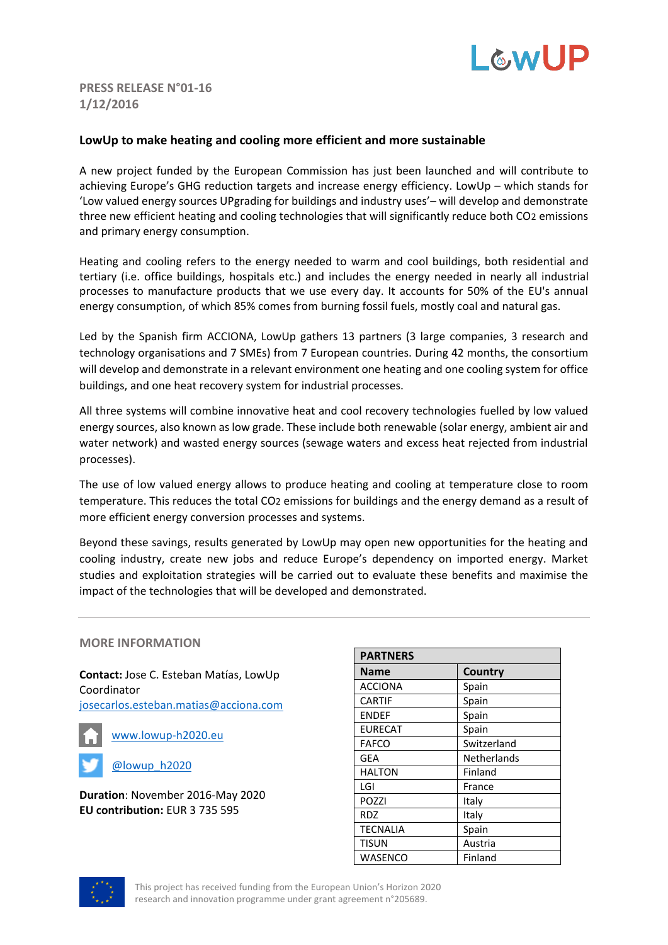

## **PRESS RELEASE N°01-16 1/12/2016**

## **LowUp to make heating and cooling more efficient and more sustainable**

A new project funded by the European Commission has just been launched and will contribute to achieving Europe's GHG reduction targets and increase energy efficiency. LowUp – which stands for 'Low valued energy sources UPgrading for buildings and industry uses'– will develop and demonstrate three new efficient heating and cooling technologies that will significantly reduce both CO2 emissions and primary energy consumption.

Heating and cooling refers to the energy needed to warm and cool buildings, both residential and tertiary (i.e. office buildings, hospitals etc.) and includes the energy needed in nearly all industrial processes to manufacture products that we use every day. It accounts for 50% of the EU's annual energy consumption, of which 85% comes from burning fossil fuels, mostly coal and natural gas.

Led by the Spanish firm ACCIONA, LowUp gathers 13 partners (3 large companies, 3 research and technology organisations and 7 SMEs) from 7 European countries. During 42 months, the consortium will develop and demonstrate in a relevant environment one heating and one cooling system for office buildings, and one heat recovery system for industrial processes.

All three systems will combine innovative heat and cool recovery technologies fuelled by low valued energy sources, also known as low grade. These include both renewable (solar energy, ambient air and water network) and wasted energy sources (sewage waters and excess heat rejected from industrial processes).

The use of low valued energy allows to produce heating and cooling at temperature close to room temperature. This reduces the total CO2 emissions for buildings and the energy demand as a result of more efficient energy conversion processes and systems.

Beyond these savings, results generated by LowUp may open new opportunities for the heating and cooling industry, create new jobs and reduce Europe's dependency on imported energy. Market studies and exploitation strategies will be carried out to evaluate these benefits and maximise the impact of the technologies that will be developed and demonstrated.

## **MORE INFORMATION**

**Contact:** Jose C. Esteban Matías, LowUp Coordinator [josecarlos.esteban.matias@acciona.com](mailto:josecarlos.esteban.matias@acciona.com)



[www.lowup-h2020.eu](http://lowup-h2020.eu/)

[@lowup\\_h2020](https://twitter.com/lowup_h2020)

**Duration**: November 2016-May 2020 **EU contribution:** EUR 3 735 595

| <b>PARTNERS</b> |                    |
|-----------------|--------------------|
| <b>Name</b>     | Country            |
| <b>ACCIONA</b>  | Spain              |
| <b>CARTIF</b>   | Spain              |
| <b>ENDEF</b>    | Spain              |
| <b>EURECAT</b>  | Spain              |
| <b>FAFCO</b>    | Switzerland        |
| GEA             | <b>Netherlands</b> |
| <b>HALTON</b>   | Finland            |
| LGI             | France             |
| POZZI           | Italy              |
| <b>RDZ</b>      | Italy              |
| <b>TECNALIA</b> | Spain              |
| <b>TISUN</b>    | Austria            |
| WASENCO         | Finland            |